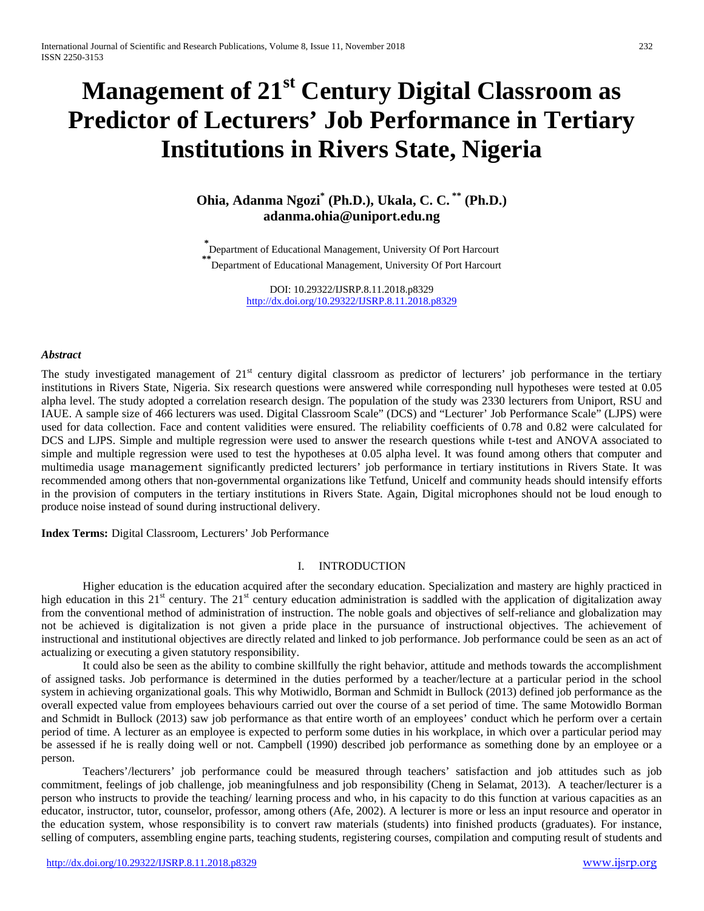# **Management of 21st Century Digital Classroom as Predictor of Lecturers' Job Performance in Tertiary Institutions in Rivers State, Nigeria**

# **Ohia, Adanma Ngozi\* (Ph.D.), Ukala, C. C. \*\* (Ph.D.) adanma.ohia@uniport.edu.ng**

**\*** Department of Educational Management, University Of Port Harcourt **\*\***Department of Educational Management, University Of Port Harcourt

> DOI: 10.29322/IJSRP.8.11.2018.p8329 <http://dx.doi.org/10.29322/IJSRP.8.11.2018.p8329>

## *Abstract*

The study investigated management of 21<sup>st</sup> century digital classroom as predictor of lecturers' job performance in the tertiary institutions in Rivers State, Nigeria. Six research questions were answered while corresponding null hypotheses were tested at 0.05 alpha level. The study adopted a correlation research design. The population of the study was 2330 lecturers from Uniport, RSU and IAUE. A sample size of 466 lecturers was used. Digital Classroom Scale" (DCS) and "Lecturer' Job Performance Scale" (LJPS) were used for data collection. Face and content validities were ensured. The reliability coefficients of 0.78 and 0.82 were calculated for DCS and LJPS. Simple and multiple regression were used to answer the research questions while t-test and ANOVA associated to simple and multiple regression were used to test the hypotheses at 0.05 alpha level. It was found among others that computer and multimedia usage management significantly predicted lecturers' job performance in tertiary institutions in Rivers State. It was recommended among others that non-governmental organizations like Tetfund, Unicelf and community heads should intensify efforts in the provision of computers in the tertiary institutions in Rivers State. Again, Digital microphones should not be loud enough to produce noise instead of sound during instructional delivery.

**Index Terms:** Digital Classroom, Lecturers' Job Performance

## I. INTRODUCTION

Higher education is the education acquired after the secondary education. Specialization and mastery are highly practiced in high education in this  $21<sup>st</sup>$  century. The  $21<sup>st</sup>$  century education administration is saddled with the application of digitalization away from the conventional method of administration of instruction. The noble goals and objectives of self-reliance and globalization may not be achieved is digitalization is not given a pride place in the pursuance of instructional objectives. The achievement of instructional and institutional objectives are directly related and linked to job performance. Job performance could be seen as an act of actualizing or executing a given statutory responsibility.

It could also be seen as the ability to combine skillfully the right behavior, attitude and methods towards the accomplishment of assigned tasks. Job performance is determined in the duties performed by a teacher/lecture at a particular period in the school system in achieving organizational goals. This why Motiwidlo, Borman and Schmidt in Bullock (2013) defined job performance as the overall expected value from employees behaviours carried out over the course of a set period of time. The same Motowidlo Borman and Schmidt in Bullock (2013) saw job performance as that entire worth of an employees' conduct which he perform over a certain period of time. A lecturer as an employee is expected to perform some duties in his workplace, in which over a particular period may be assessed if he is really doing well or not. Campbell (1990) described job performance as something done by an employee or a person.

Teachers'/lecturers' job performance could be measured through teachers' satisfaction and job attitudes such as job commitment, feelings of job challenge, job meaningfulness and job responsibility (Cheng in Selamat, 2013). A teacher/lecturer is a person who instructs to provide the teaching/ learning process and who, in his capacity to do this function at various capacities as an educator, instructor, tutor, counselor, professor, among others (Afe, 2002). A lecturer is more or less an input resource and operator in the education system, whose responsibility is to convert raw materials (students) into finished products (graduates). For instance, selling of computers, assembling engine parts, teaching students, registering courses, compilation and computing result of students and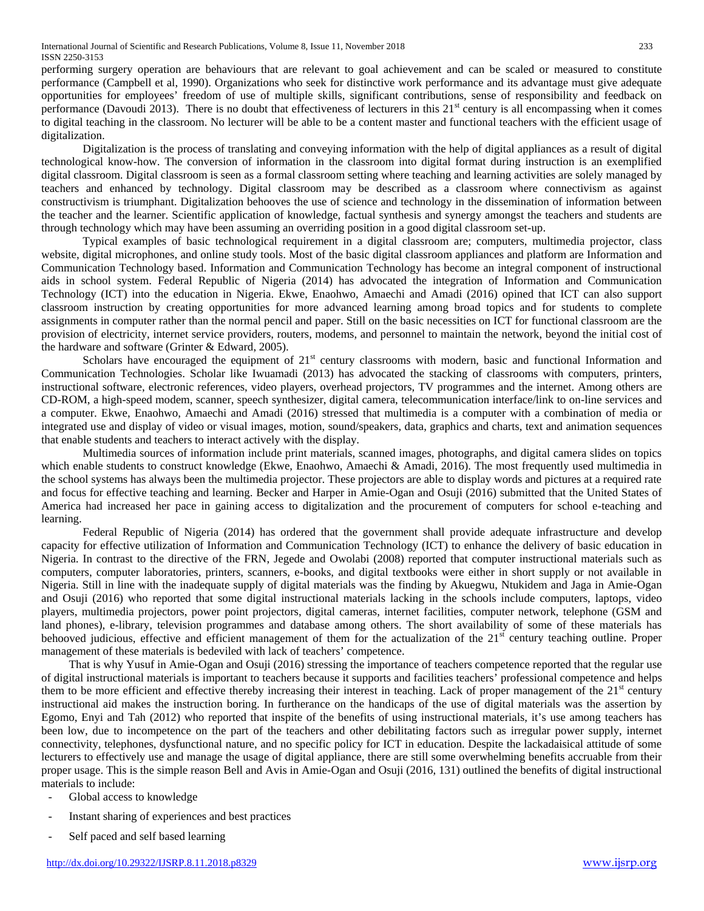performing surgery operation are behaviours that are relevant to goal achievement and can be scaled or measured to constitute performance (Campbell et al, 1990). Organizations who seek for distinctive work performance and its advantage must give adequate opportunities for employees' freedom of use of multiple skills, significant contributions, sense of responsibility and feedback on performance (Davoudi 2013). There is no doubt that effectiveness of lecturers in this  $21<sup>st</sup>$  century is all encompassing when it comes to digital teaching in the classroom. No lecturer will be able to be a content master and functional teachers with the efficient usage of digitalization.

Digitalization is the process of translating and conveying information with the help of digital appliances as a result of digital technological know-how. The conversion of information in the classroom into digital format during instruction is an exemplified digital classroom. Digital classroom is seen as a formal classroom setting where teaching and learning activities are solely managed by teachers and enhanced by technology. Digital classroom may be described as a classroom where connectivism as against constructivism is triumphant. Digitalization behooves the use of science and technology in the dissemination of information between the teacher and the learner. Scientific application of knowledge, factual synthesis and synergy amongst the teachers and students are through technology which may have been assuming an overriding position in a good digital classroom set-up.

Typical examples of basic technological requirement in a digital classroom are; computers, multimedia projector, class website, digital microphones, and online study tools. Most of the basic digital classroom appliances and platform are Information and Communication Technology based. Information and Communication Technology has become an integral component of instructional aids in school system. Federal Republic of Nigeria (2014) has advocated the integration of Information and Communication Technology (ICT) into the education in Nigeria. Ekwe, Enaohwo, Amaechi and Amadi (2016) opined that ICT can also support classroom instruction by creating opportunities for more advanced learning among broad topics and for students to complete assignments in computer rather than the normal pencil and paper. Still on the basic necessities on ICT for functional classroom are the provision of electricity, internet service providers, routers, modems, and personnel to maintain the network, beyond the initial cost of the hardware and software (Grinter & Edward, 2005).

Scholars have encouraged the equipment of  $21<sup>st</sup>$  century classrooms with modern, basic and functional Information and Communication Technologies. Scholar like Iwuamadi (2013) has advocated the stacking of classrooms with computers, printers, instructional software, electronic references, video players, overhead projectors, TV programmes and the internet. Among others are CD-ROM, a high-speed modem, scanner, speech synthesizer, digital camera, telecommunication interface/link to on-line services and a computer. Ekwe, Enaohwo, Amaechi and Amadi (2016) stressed that multimedia is a computer with a combination of media or integrated use and display of video or visual images, motion, sound/speakers, data, graphics and charts, text and animation sequences that enable students and teachers to interact actively with the display.

Multimedia sources of information include print materials, scanned images, photographs, and digital camera slides on topics which enable students to construct knowledge (Ekwe, Enaohwo, Amaechi & Amadi, 2016). The most frequently used multimedia in the school systems has always been the multimedia projector. These projectors are able to display words and pictures at a required rate and focus for effective teaching and learning. Becker and Harper in Amie-Ogan and Osuji (2016) submitted that the United States of America had increased her pace in gaining access to digitalization and the procurement of computers for school e-teaching and learning.

Federal Republic of Nigeria (2014) has ordered that the government shall provide adequate infrastructure and develop capacity for effective utilization of Information and Communication Technology (ICT) to enhance the delivery of basic education in Nigeria. In contrast to the directive of the FRN, Jegede and Owolabi (2008) reported that computer instructional materials such as computers, computer laboratories, printers, scanners, e-books, and digital textbooks were either in short supply or not available in Nigeria. Still in line with the inadequate supply of digital materials was the finding by Akuegwu, Ntukidem and Jaga in Amie-Ogan and Osuji (2016) who reported that some digital instructional materials lacking in the schools include computers, laptops, video players, multimedia projectors, power point projectors, digital cameras, internet facilities, computer network, telephone (GSM and land phones), e-library, television programmes and database among others. The short availability of some of these materials has behooved judicious, effective and efficient management of them for the actualization of the  $21<sup>st</sup>$  century teaching outline. Proper management of these materials is bedeviled with lack of teachers' competence.

That is why Yusuf in Amie-Ogan and Osuji (2016) stressing the importance of teachers competence reported that the regular use of digital instructional materials is important to teachers because it supports and facilities teachers' professional competence and helps them to be more efficient and effective thereby increasing their interest in teaching. Lack of proper management of the  $21<sup>st</sup>$  century instructional aid makes the instruction boring. In furtherance on the handicaps of the use of digital materials was the assertion by Egomo, Enyi and Tah (2012) who reported that inspite of the benefits of using instructional materials, it's use among teachers has been low, due to incompetence on the part of the teachers and other debilitating factors such as irregular power supply, internet connectivity, telephones, dysfunctional nature, and no specific policy for ICT in education. Despite the lackadaisical attitude of some lecturers to effectively use and manage the usage of digital appliance, there are still some overwhelming benefits accruable from their proper usage. This is the simple reason Bell and Avis in Amie-Ogan and Osuji (2016, 131) outlined the benefits of digital instructional materials to include:

- Global access to knowledge
- Instant sharing of experiences and best practices
- Self paced and self based learning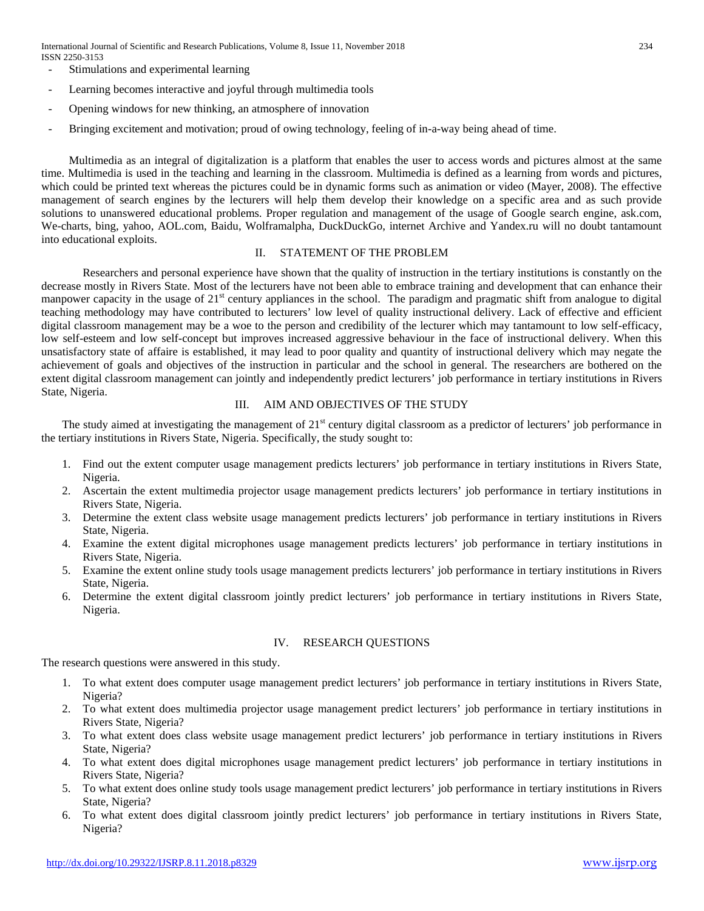International Journal of Scientific and Research Publications, Volume 8, Issue 11, November 2018 234 ISSN 2250-3153

- Stimulations and experimental learning
- Learning becomes interactive and joyful through multimedia tools
- Opening windows for new thinking, an atmosphere of innovation
- Bringing excitement and motivation; proud of owing technology, feeling of in-a-way being ahead of time.

Multimedia as an integral of digitalization is a platform that enables the user to access words and pictures almost at the same time. Multimedia is used in the teaching and learning in the classroom. Multimedia is defined as a learning from words and pictures, which could be printed text whereas the pictures could be in dynamic forms such as animation or video (Mayer, 2008). The effective management of search engines by the lecturers will help them develop their knowledge on a specific area and as such provide solutions to unanswered educational problems. Proper regulation and management of the usage of Google search engine, ask.com, We-charts, bing, yahoo, AOL.com, Baidu, Wolframalpha, DuckDuckGo, internet Archive and Yandex.ru will no doubt tantamount into educational exploits.

## II. STATEMENT OF THE PROBLEM

Researchers and personal experience have shown that the quality of instruction in the tertiary institutions is constantly on the decrease mostly in Rivers State. Most of the lecturers have not been able to embrace training and development that can enhance their manpower capacity in the usage of 21<sup>st</sup> century appliances in the school. The paradigm and pragmatic shift from analogue to digital teaching methodology may have contributed to lecturers' low level of quality instructional delivery. Lack of effective and efficient digital classroom management may be a woe to the person and credibility of the lecturer which may tantamount to low self-efficacy, low self-esteem and low self-concept but improves increased aggressive behaviour in the face of instructional delivery. When this unsatisfactory state of affaire is established, it may lead to poor quality and quantity of instructional delivery which may negate the achievement of goals and objectives of the instruction in particular and the school in general. The researchers are bothered on the extent digital classroom management can jointly and independently predict lecturers' job performance in tertiary institutions in Rivers State, Nigeria.

## III. AIM AND OBJECTIVES OF THE STUDY

The study aimed at investigating the management of  $21<sup>st</sup>$  century digital classroom as a predictor of lecturers' job performance in the tertiary institutions in Rivers State, Nigeria. Specifically, the study sought to:

- 1. Find out the extent computer usage management predicts lecturers' job performance in tertiary institutions in Rivers State, Nigeria.
- 2. Ascertain the extent multimedia projector usage management predicts lecturers' job performance in tertiary institutions in Rivers State, Nigeria.
- 3. Determine the extent class website usage management predicts lecturers' job performance in tertiary institutions in Rivers State, Nigeria.
- 4. Examine the extent digital microphones usage management predicts lecturers' job performance in tertiary institutions in Rivers State, Nigeria.
- 5. Examine the extent online study tools usage management predicts lecturers' job performance in tertiary institutions in Rivers State, Nigeria.
- 6. Determine the extent digital classroom jointly predict lecturers' job performance in tertiary institutions in Rivers State, Nigeria.

## IV. RESEARCH QUESTIONS

The research questions were answered in this study.

- 1. To what extent does computer usage management predict lecturers' job performance in tertiary institutions in Rivers State, Nigeria?
- 2. To what extent does multimedia projector usage management predict lecturers' job performance in tertiary institutions in Rivers State, Nigeria?
- 3. To what extent does class website usage management predict lecturers' job performance in tertiary institutions in Rivers State, Nigeria?
- 4. To what extent does digital microphones usage management predict lecturers' job performance in tertiary institutions in Rivers State, Nigeria?
- 5. To what extent does online study tools usage management predict lecturers' job performance in tertiary institutions in Rivers State, Nigeria?
- 6. To what extent does digital classroom jointly predict lecturers' job performance in tertiary institutions in Rivers State, Nigeria?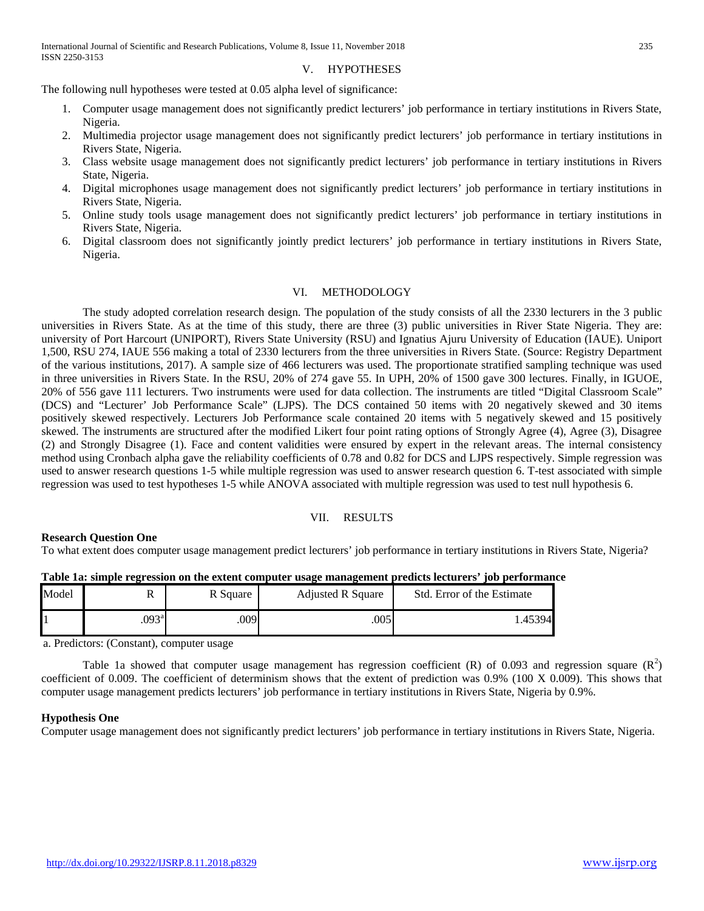#### V. HYPOTHESES

The following null hypotheses were tested at 0.05 alpha level of significance:

- 1. Computer usage management does not significantly predict lecturers' job performance in tertiary institutions in Rivers State, Nigeria.
- 2. Multimedia projector usage management does not significantly predict lecturers' job performance in tertiary institutions in Rivers State, Nigeria.
- 3. Class website usage management does not significantly predict lecturers' job performance in tertiary institutions in Rivers State, Nigeria.
- 4. Digital microphones usage management does not significantly predict lecturers' job performance in tertiary institutions in Rivers State, Nigeria.
- 5. Online study tools usage management does not significantly predict lecturers' job performance in tertiary institutions in Rivers State, Nigeria.
- 6. Digital classroom does not significantly jointly predict lecturers' job performance in tertiary institutions in Rivers State, Nigeria.

## VI. METHODOLOGY

The study adopted correlation research design. The population of the study consists of all the 2330 lecturers in the 3 public universities in Rivers State. As at the time of this study, there are three (3) public universities in River State Nigeria. They are: university of Port Harcourt (UNIPORT), Rivers State University (RSU) and Ignatius Ajuru University of Education (IAUE). Uniport 1,500, RSU 274, IAUE 556 making a total of 2330 lecturers from the three universities in Rivers State. (Source: Registry Department of the various institutions, 2017). A sample size of 466 lecturers was used. The proportionate stratified sampling technique was used in three universities in Rivers State. In the RSU, 20% of 274 gave 55. In UPH, 20% of 1500 gave 300 lectures. Finally, in IGUOE, 20% of 556 gave 111 lecturers. Two instruments were used for data collection. The instruments are titled "Digital Classroom Scale" (DCS) and "Lecturer' Job Performance Scale" (LJPS). The DCS contained 50 items with 20 negatively skewed and 30 items positively skewed respectively. Lecturers Job Performance scale contained 20 items with 5 negatively skewed and 15 positively skewed. The instruments are structured after the modified Likert four point rating options of Strongly Agree (4), Agree (3), Disagree (2) and Strongly Disagree (1). Face and content validities were ensured by expert in the relevant areas. The internal consistency method using Cronbach alpha gave the reliability coefficients of 0.78 and 0.82 for DCS and LJPS respectively. Simple regression was used to answer research questions 1-5 while multiple regression was used to answer research question 6. T-test associated with simple regression was used to test hypotheses 1-5 while ANOVA associated with multiple regression was used to test null hypothesis 6.

#### VII. RESULTS

## **Research Question One**

To what extent does computer usage management predict lecturers' job performance in tertiary institutions in Rivers State, Nigeria?

| Model | 17                | R Square | <b>Adjusted R Square</b> | Std. Error of the Estimate |
|-------|-------------------|----------|--------------------------|----------------------------|
|       | .093 <sup>a</sup> | .009     | 005                      | .45394                     |

## **Table 1a: simple regression on the extent computer usage management predicts lecturers' job performance**

a. Predictors: (Constant), computer usage

Table 1a showed that computer usage management has regression coefficient (R) of 0.093 and regression square  $(R^2)$ coefficient of 0.009. The coefficient of determinism shows that the extent of prediction was 0.9% (100 X 0.009). This shows that computer usage management predicts lecturers' job performance in tertiary institutions in Rivers State, Nigeria by 0.9%.

## **Hypothesis One**

Computer usage management does not significantly predict lecturers' job performance in tertiary institutions in Rivers State, Nigeria.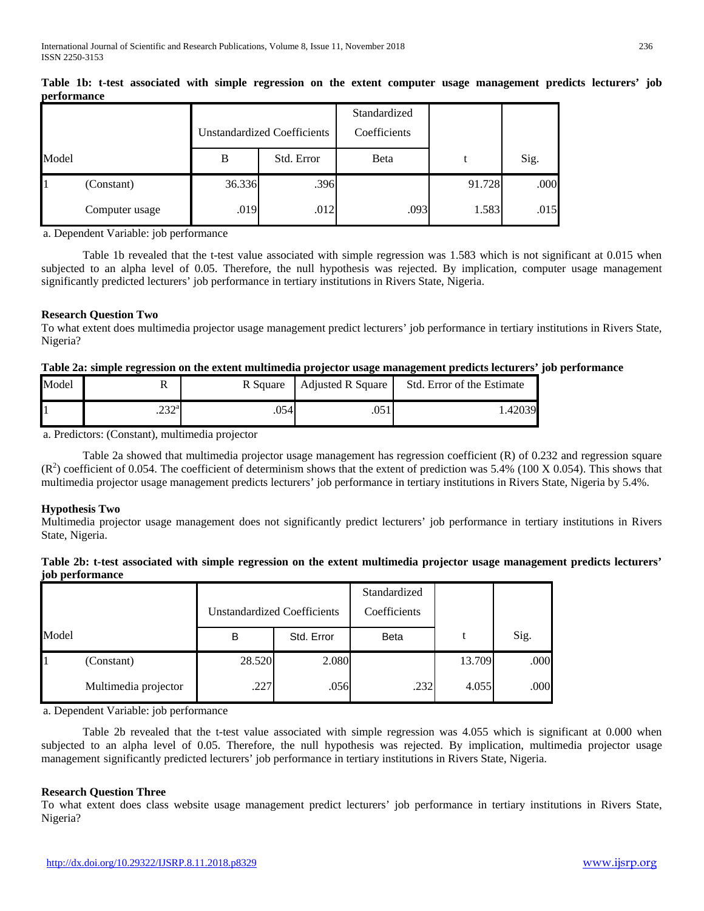|       |                |        | <b>Unstandardized Coefficients</b> | Standardized<br>Coefficients |        |      |
|-------|----------------|--------|------------------------------------|------------------------------|--------|------|
| Model |                | B      | Std. Error                         | Beta                         | t      | Sig. |
|       | (Constant)     | 36.336 | .396                               |                              | 91.728 | .000 |
|       | Computer usage | .019   | .012                               | .093                         | 1.583  | .015 |

**Table 1b: t-test associated with simple regression on the extent computer usage management predicts lecturers' job performance**

a. Dependent Variable: job performance

Table 1b revealed that the t-test value associated with simple regression was 1.583 which is not significant at 0.015 when subjected to an alpha level of 0.05. Therefore, the null hypothesis was rejected. By implication, computer usage management significantly predicted lecturers' job performance in tertiary institutions in Rivers State, Nigeria.

## **Research Question Two**

To what extent does multimedia projector usage management predict lecturers' job performance in tertiary institutions in Rivers State, Nigeria?

## **Table 2a: simple regression on the extent multimedia projector usage management predicts lecturers' job performance**

| Model | 17             | R Square                                    | <b>Adjusted R Square</b> | Std. Error of the Estimate |
|-------|----------------|---------------------------------------------|--------------------------|----------------------------|
|       | റററി<br>ے بے ۔ | $.054$ <sup><math>\blacksquare</math></sup> |                          | .42039                     |

a. Predictors: (Constant), multimedia projector

Table 2a showed that multimedia projector usage management has regression coefficient (R) of 0.232 and regression square  $(R<sup>2</sup>)$  coefficient of 0.054. The coefficient of determinism shows that the extent of prediction was 5.4% (100 X 0.054). This shows that multimedia projector usage management predicts lecturers' job performance in tertiary institutions in Rivers State, Nigeria by 5.4%.

## **Hypothesis Two**

Multimedia projector usage management does not significantly predict lecturers' job performance in tertiary institutions in Rivers State, Nigeria.

## **Table 2b: t-test associated with simple regression on the extent multimedia projector usage management predicts lecturers' job performance**

|       |                      |        |                                    | Standardized |        |      |
|-------|----------------------|--------|------------------------------------|--------------|--------|------|
|       |                      |        | <b>Unstandardized Coefficients</b> | Coefficients |        |      |
| Model |                      | В      | Std. Error                         | <b>Beta</b>  |        | Sig. |
|       | (Constant)           | 28.520 | 2.080                              |              | 13.709 | .000 |
|       | Multimedia projector | .227   | .056                               | .232         | 4.055  | .000 |

a. Dependent Variable: job performance

Table 2b revealed that the t-test value associated with simple regression was 4.055 which is significant at 0.000 when subjected to an alpha level of 0.05. Therefore, the null hypothesis was rejected. By implication, multimedia projector usage management significantly predicted lecturers' job performance in tertiary institutions in Rivers State, Nigeria.

## **Research Question Three**

To what extent does class website usage management predict lecturers' job performance in tertiary institutions in Rivers State, Nigeria?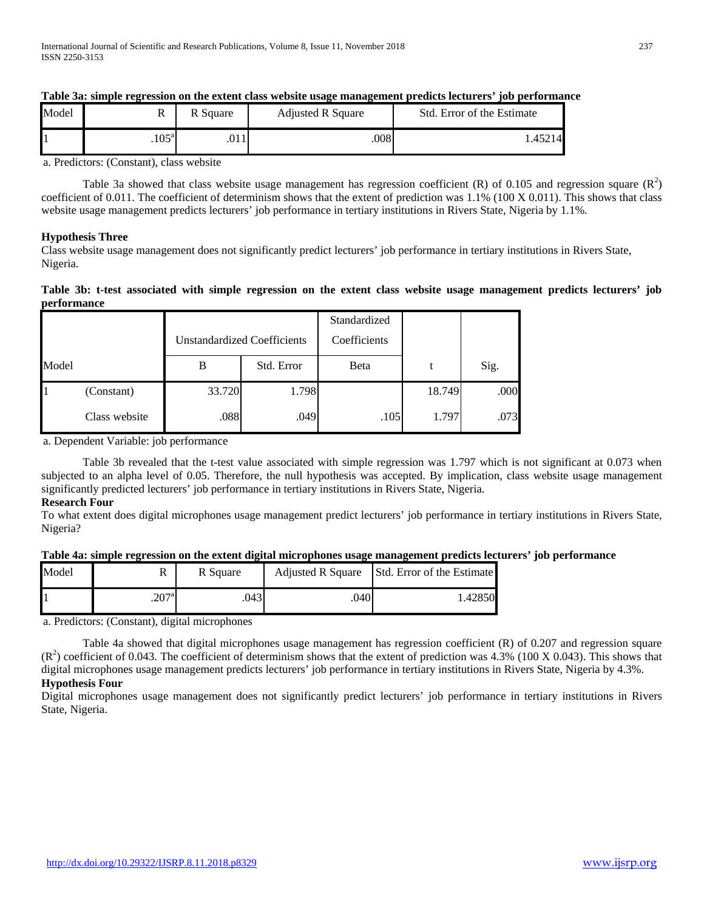| Model | 17                | R Square | <b>Adjusted R Square</b> | Std. Error of the Estimate |
|-------|-------------------|----------|--------------------------|----------------------------|
|       | .105 <sup>a</sup> | .011     | .008                     | 1.45214                    |

## **Table 3a: simple regression on the extent class website usage management predicts lecturers' job performance**

a. Predictors: (Constant), class website

Table 3a showed that class website usage management has regression coefficient (R) of 0.105 and regression square  $(R^2)$ coefficient of 0.011. The coefficient of determinism shows that the extent of prediction was 1.1% (100 X 0.011). This shows that class website usage management predicts lecturers' job performance in tertiary institutions in Rivers State, Nigeria by 1.1%.

## **Hypothesis Three**

Class website usage management does not significantly predict lecturers' job performance in tertiary institutions in Rivers State, Nigeria.

## **Table 3b: t-test associated with simple regression on the extent class website usage management predicts lecturers' job performance**

|       |               |        | <b>Unstandardized Coefficients</b> | Standardized<br>Coefficients |        |      |
|-------|---------------|--------|------------------------------------|------------------------------|--------|------|
| Model |               | B      | Std. Error                         | Beta                         |        | Sig. |
|       | (Constant)    | 33.720 | 1.798                              |                              | 18.749 | .000 |
|       | Class website | .088   | .049                               | .105                         | 1.797  | .073 |

a. Dependent Variable: job performance

Table 3b revealed that the t-test value associated with simple regression was 1.797 which is not significant at 0.073 when subjected to an alpha level of 0.05. Therefore, the null hypothesis was accepted. By implication, class website usage management significantly predicted lecturers' job performance in tertiary institutions in Rivers State, Nigeria.

## **Research Four**

To what extent does digital microphones usage management predict lecturers' job performance in tertiary institutions in Rivers State, Nigeria?

## **Table 4a: simple regression on the extent digital microphones usage management predicts lecturers' job performance**

| Model | n                   | R Square | <b>Adjusted R Square</b> | Std. Error of the Estimate |
|-------|---------------------|----------|--------------------------|----------------------------|
|       | $.207$ <sup>a</sup> | .043     | .040                     | 1.42850                    |

a. Predictors: (Constant), digital microphones

Table 4a showed that digital microphones usage management has regression coefficient (R) of 0.207 and regression square  $(R<sup>2</sup>)$  coefficient of 0.043. The coefficient of determinism shows that the extent of prediction was 4.3% (100 X 0.043). This shows that digital microphones usage management predicts lecturers' job performance in tertiary institutions in Rivers State, Nigeria by 4.3%. **Hypothesis Four**

Digital microphones usage management does not significantly predict lecturers' job performance in tertiary institutions in Rivers State, Nigeria.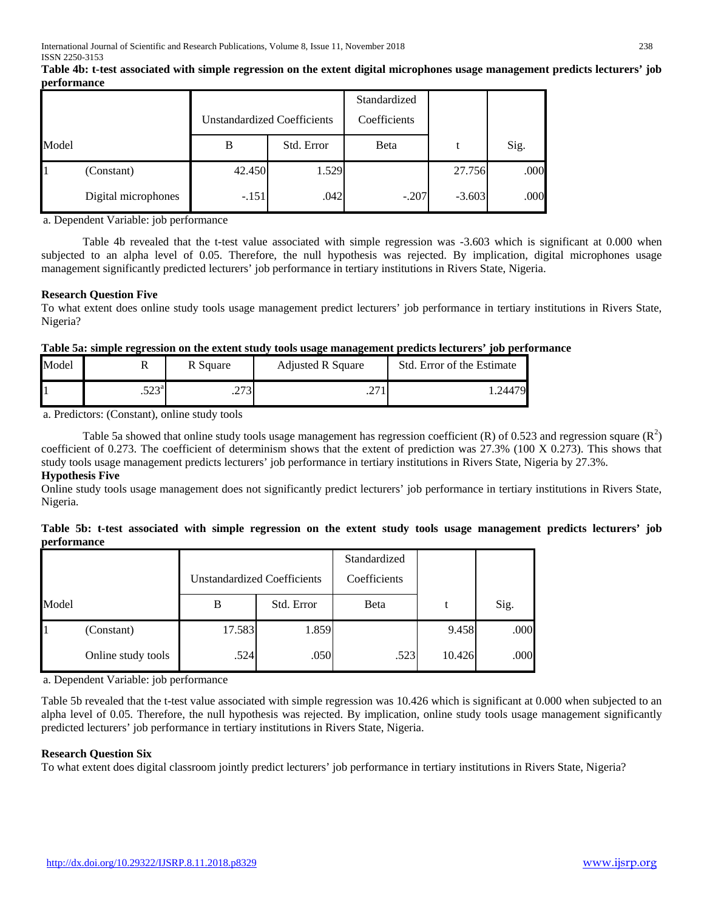|       |                     | <b>Unstandardized Coefficients</b> |                    | Standardized<br>Coefficients |          |      |
|-------|---------------------|------------------------------------|--------------------|------------------------------|----------|------|
| Model |                     | В                                  | Std. Error<br>Beta |                              | t        | Sig. |
|       | (Constant)          | 42.450                             | 1.529              |                              | 27.756   | .000 |
|       | Digital microphones | $-.151$                            | .042               | $-.207$                      | $-3.603$ | .000 |

**Table 4b: t-test associated with simple regression on the extent digital microphones usage management predicts lecturers' job performance**

a. Dependent Variable: job performance

Table 4b revealed that the t-test value associated with simple regression was -3.603 which is significant at 0.000 when subjected to an alpha level of 0.05. Therefore, the null hypothesis was rejected. By implication, digital microphones usage management significantly predicted lecturers' job performance in tertiary institutions in Rivers State, Nigeria.

## **Research Question Five**

To what extent does online study tools usage management predict lecturers' job performance in tertiary institutions in Rivers State, Nigeria?

## **Table 5a: simple regression on the extent study tools usage management predicts lecturers' job performance**

| Model |                | R Square             | <b>Adjusted R Square</b> | Std. Error of the Estimate |
|-------|----------------|----------------------|--------------------------|----------------------------|
|       | 502a<br>ت سے ب | <b>ANA</b><br>ر رے . | $\overline{\phantom{a}}$ | .24479                     |

a. Predictors: (Constant), online study tools

Table 5a showed that online study tools usage management has regression coefficient (R) of 0.523 and regression square ( $R^2$ ) coefficient of 0.273. The coefficient of determinism shows that the extent of prediction was 27.3% (100 X 0.273). This shows that study tools usage management predicts lecturers' job performance in tertiary institutions in Rivers State, Nigeria by 27.3%.

## **Hypothesis Five**

Online study tools usage management does not significantly predict lecturers' job performance in tertiary institutions in Rivers State, Nigeria.

|                    |  |  |  |  |  |  | Table 5b: t-test associated with simple regression on the extent study tools usage management predicts lecturers' job |  |  |
|--------------------|--|--|--|--|--|--|-----------------------------------------------------------------------------------------------------------------------|--|--|
| <b>performance</b> |  |  |  |  |  |  |                                                                                                                       |  |  |

|       |                    | <b>Unstandardized Coefficients</b> |            | Standardized<br>Coefficients |        |      |
|-------|--------------------|------------------------------------|------------|------------------------------|--------|------|
| Model |                    | B                                  | Std. Error | Beta                         |        | Sig. |
|       | (Constant)         | 17.583                             | 1.859      |                              | 9.458  | .000 |
|       | Online study tools | .524                               | .050       | .523                         | 10.426 | .000 |

a. Dependent Variable: job performance

Table 5b revealed that the t-test value associated with simple regression was 10.426 which is significant at 0.000 when subjected to an alpha level of 0.05. Therefore, the null hypothesis was rejected. By implication, online study tools usage management significantly predicted lecturers' job performance in tertiary institutions in Rivers State, Nigeria.

## **Research Question Six**

To what extent does digital classroom jointly predict lecturers' job performance in tertiary institutions in Rivers State, Nigeria?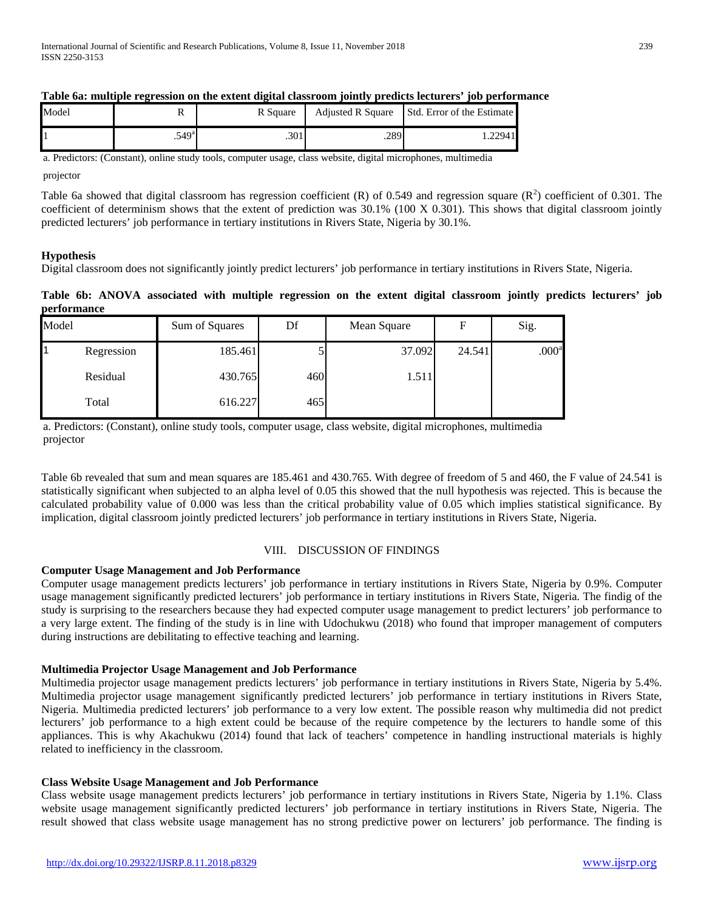|       |                |          | . .  |                                              |
|-------|----------------|----------|------|----------------------------------------------|
| Model |                | R Square |      | Adjusted R Square Std. Error of the Estimate |
|       | $.549^{\rm a}$ | .301     | .289 | 1.22941                                      |

## **Table 6a: multiple regression on the extent digital classroom jointly predicts lecturers' job performance**

a. Predictors: (Constant), online study tools, computer usage, class website, digital microphones, multimedia

projector

Table 6a showed that digital classroom has regression coefficient (R) of 0.549 and regression square ( $\mathbb{R}^2$ ) coefficient of 0.301. The coefficient of determinism shows that the extent of prediction was 30.1% (100 X 0.301). This shows that digital classroom jointly predicted lecturers' job performance in tertiary institutions in Rivers State, Nigeria by 30.1%.

## **Hypothesis**

Digital classroom does not significantly jointly predict lecturers' job performance in tertiary institutions in Rivers State, Nigeria.

## **Table 6b: ANOVA associated with multiple regression on the extent digital classroom jointly predicts lecturers' job performance**

| Model |            | Sum of Squares | Df  | Mean Square | F      | Sig.              |
|-------|------------|----------------|-----|-------------|--------|-------------------|
|       | Regression | 185.461        |     | 37.092      | 24.541 | .000 <sup>a</sup> |
|       | Residual   | 430.765        | 460 | 1.511       |        |                   |
|       | Total      | 616.227        | 465 |             |        |                   |

a. Predictors: (Constant), online study tools, computer usage, class website, digital microphones, multimedia projector

Table 6b revealed that sum and mean squares are 185.461 and 430.765. With degree of freedom of 5 and 460, the F value of 24.541 is statistically significant when subjected to an alpha level of 0.05 this showed that the null hypothesis was rejected. This is because the calculated probability value of 0.000 was less than the critical probability value of 0.05 which implies statistical significance. By implication, digital classroom jointly predicted lecturers' job performance in tertiary institutions in Rivers State, Nigeria.

## VIII. DISCUSSION OF FINDINGS

## **Computer Usage Management and Job Performance**

Computer usage management predicts lecturers' job performance in tertiary institutions in Rivers State, Nigeria by 0.9%. Computer usage management significantly predicted lecturers' job performance in tertiary institutions in Rivers State, Nigeria. The findig of the study is surprising to the researchers because they had expected computer usage management to predict lecturers' job performance to a very large extent. The finding of the study is in line with Udochukwu (2018) who found that improper management of computers during instructions are debilitating to effective teaching and learning.

## **Multimedia Projector Usage Management and Job Performance**

Multimedia projector usage management predicts lecturers' job performance in tertiary institutions in Rivers State, Nigeria by 5.4%. Multimedia projector usage management significantly predicted lecturers' job performance in tertiary institutions in Rivers State, Nigeria. Multimedia predicted lecturers' job performance to a very low extent. The possible reason why multimedia did not predict lecturers' job performance to a high extent could be because of the require competence by the lecturers to handle some of this appliances. This is why Akachukwu (2014) found that lack of teachers' competence in handling instructional materials is highly related to inefficiency in the classroom.

## **Class Website Usage Management and Job Performance**

Class website usage management predicts lecturers' job performance in tertiary institutions in Rivers State, Nigeria by 1.1%. Class website usage management significantly predicted lecturers' job performance in tertiary institutions in Rivers State, Nigeria. The result showed that class website usage management has no strong predictive power on lecturers' job performance. The finding is